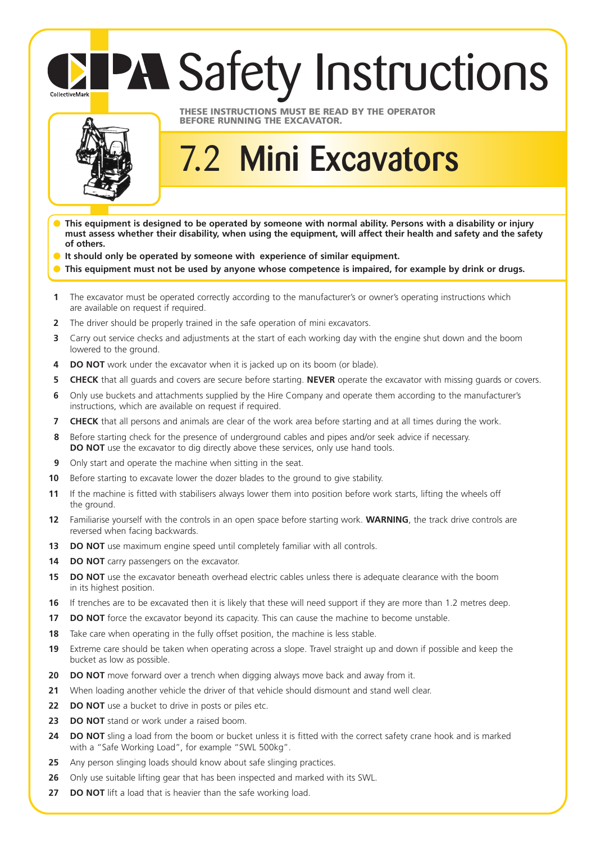## **PA Safety Instructions** CollectiveMark



## **THESE INSTRUCTIONS MUST BE READ BY THE OPERATOR BEFORE RUNNING THE EXCAVATOR.**

## 7.2 **Mini Excavators**

- **This equipment is designed to be operated by someone with normal ability. Persons with a disability or injury must assess whether their disability, when using the equipment, will affect their health and safety and the safety of others.**
- **It should only be operated by someone with experience of similar equipment.**
- This equipment must not be used by anyone whose competence is impaired, for example by drink or drugs.
- **1** The excavator must be operated correctly according to the manufacturer's or owner's operating instructions which are available on request if required.
- **2** The driver should be properly trained in the safe operation of mini excavators.
- **3** Carry out service checks and adjustments at the start of each working day with the engine shut down and the boom lowered to the ground.
- **4 DO NOT** work under the excavator when it is jacked up on its boom (or blade).
- **5 CHECK** that all guards and covers are secure before starting. **NEVER** operate the excavator with missing guards or covers.
- **6** Only use buckets and attachments supplied by the Hire Company and operate them according to the manufacturer's instructions, which are available on request if required.
- **7 CHECK** that all persons and animals are clear of the work area before starting and at all times during the work.
- **8** Before starting check for the presence of underground cables and pipes and/or seek advice if necessary. **DO NOT** use the excavator to dig directly above these services, only use hand tools.
- **9** Only start and operate the machine when sitting in the seat.
- **10** Before starting to excavate lower the dozer blades to the ground to give stability.
- **11** If the machine is fitted with stabilisers always lower them into position before work starts, lifting the wheels off the ground.
- **12** Familiarise yourself with the controls in an open space before starting work. **WARNING**, the track drive controls are reversed when facing backwards.
- **13 DO NOT** use maximum engine speed until completely familiar with all controls.
- **14 DO NOT** carry passengers on the excavator.
- **15 DO NOT** use the excavator beneath overhead electric cables unless there is adequate clearance with the boom in its highest position.
- **16** If trenches are to be excavated then it is likely that these will need support if they are more than 1.2 metres deep.
- **17 DO NOT** force the excavator beyond its capacity. This can cause the machine to become unstable.
- **18** Take care when operating in the fully offset position, the machine is less stable.
- **19** Extreme care should be taken when operating across a slope. Travel straight up and down if possible and keep the bucket as low as possible.
- **20 DO NOT** move forward over a trench when digging always move back and away from it.
- **21** When loading another vehicle the driver of that vehicle should dismount and stand well clear.
- **22 DO NOT** use a bucket to drive in posts or piles etc.
- **23 DO NOT** stand or work under a raised boom.
- 24 DO NOT sling a load from the boom or bucket unless it is fitted with the correct safety crane hook and is marked with a "Safe Working Load", for example "SWL 500kg".
- **25** Any person slinging loads should know about safe slinging practices.
- **26** Only use suitable lifting gear that has been inspected and marked with its SWL.
- **27 DO NOT** lift a load that is heavier than the safe working load.